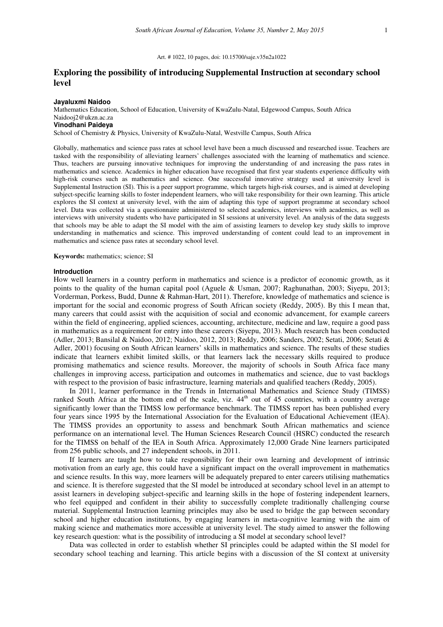#### Art. # 1022, 10 pages, doi: 10.15700/saje.v35n2a1022

# **Exploring the possibility of introducing Supplemental Instruction at secondary school level**

### **Jayaluxmi Naidoo**

Mathematics Education, School of Education, University of KwaZulu-Natal, Edgewood Campus, South Africa Naidooj2@ukzn.ac.za **Vinodhani Paideya** 

School of Chemistry & Physics, University of KwaZulu-Natal, Westville Campus, South Africa

Globally, mathematics and science pass rates at school level have been a much discussed and researched issue. Teachers are tasked with the responsibility of alleviating learners' challenges associated with the learning of mathematics and science. Thus, teachers are pursuing innovative techniques for improving the understanding of and increasing the pass rates in mathematics and science. Academics in higher education have recognised that first year students experience difficulty with high-risk courses such as mathematics and science. One successful innovative strategy used at university level is Supplemental Instruction (SI). This is a peer support programme, which targets high-risk courses, and is aimed at developing subject-specific learning skills to foster independent learners, who will take responsibility for their own learning. This article explores the SI context at university level, with the aim of adapting this type of support programme at secondary school level. Data was collected via a questionnaire administered to selected academics, interviews with academics, as well as interviews with university students who have participated in SI sessions at university level. An analysis of the data suggests that schools may be able to adapt the SI model with the aim of assisting learners to develop key study skills to improve understanding in mathematics and science. This improved understanding of content could lead to an improvement in mathematics and science pass rates at secondary school level.

**Keywords:** mathematics; science; SI

#### **Introduction**

How well learners in a country perform in mathematics and science is a predictor of economic growth, as it points to the quality of the human capital pool (Aguele & Usman, 2007; Raghunathan, 2003; Siyepu, 2013; Vorderman, Porkess, Budd, Dunne & Rahman-Hart, 2011). Therefore, knowledge of mathematics and science is important for the social and economic progress of South African society (Reddy, 2005). By this I mean that, many careers that could assist with the acquisition of social and economic advancement, for example careers within the field of engineering, applied sciences, accounting, architecture, medicine and law, require a good pass in mathematics as a requirement for entry into these careers (Siyepu, 2013). Much research has been conducted (Adler, 2013; Bansilal & Naidoo, 2012; Naidoo, 2012, 2013; Reddy, 2006; Sanders, 2002; Setati, 2006; Setati & Adler, 2001) focusing on South African learners' skills in mathematics and science. The results of these studies indicate that learners exhibit limited skills, or that learners lack the necessary skills required to produce promising mathematics and science results. Moreover, the majority of schools in South Africa face many challenges in improving access, participation and outcomes in mathematics and science, due to vast backlogs with respect to the provision of basic infrastructure, learning materials and qualified teachers (Reddy, 2005).

In 2011, learner performance in the Trends in International Mathematics and Science Study (TIMSS) ranked South Africa at the bottom end of the scale, viz.  $44<sup>th</sup>$  out of 45 countries, with a country average significantly lower than the TIMSS low performance benchmark. The TIMSS report has been published every four years since 1995 by the International Association for the Evaluation of Educational Achievement (IEA). The TIMSS provides an opportunity to assess and benchmark South African mathematics and science performance on an international level. The Human Sciences Research Council (HSRC) conducted the research for the TIMSS on behalf of the IEA in South Africa. Approximately 12,000 Grade Nine learners participated from 256 public schools, and 27 independent schools, in 2011.

If learners are taught how to take responsibility for their own learning and development of intrinsic motivation from an early age, this could have a significant impact on the overall improvement in mathematics and science results. In this way, more learners will be adequately prepared to enter careers utilising mathematics and science. It is therefore suggested that the SI model be introduced at secondary school level in an attempt to assist learners in developing subject-specific and learning skills in the hope of fostering independent learners, who feel equipped and confident in their ability to successfully complete traditionally challenging course material. Supplemental Instruction learning principles may also be used to bridge the gap between secondary school and higher education institutions, by engaging learners in meta-cognitive learning with the aim of making science and mathematics more accessible at university level. The study aimed to answer the following key research question: what is the possibility of introducing a SI model at secondary school level?

Data was collected in order to establish whether SI principles could be adapted within the SI model for secondary school teaching and learning. This article begins with a discussion of the SI context at university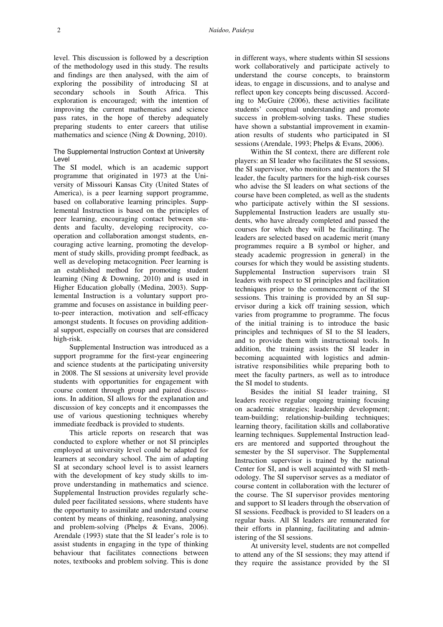level. This discussion is followed by a description of the methodology used in this study. The results and findings are then analysed, with the aim of exploring the possibility of introducing SI at secondary schools in South Africa. This exploration is encouraged; with the intention of improving the current mathematics and science pass rates, in the hope of thereby adequately preparing students to enter careers that utilise mathematics and science (Ning & Downing, 2010).

# The Supplemental Instruction Context at University Level

The SI model, which is an academic support programme that originated in 1973 at the University of Missouri Kansas City (United States of America), is a peer learning support programme, based on collaborative learning principles. Supplemental Instruction is based on the principles of peer learning, encouraging contact between students and faculty, developing reciprocity, cooperation and collaboration amongst students, encouraging active learning, promoting the development of study skills, providing prompt feedback, as well as developing metacognition. Peer learning is an established method for promoting student learning (Ning & Downing, 2010) and is used in Higher Education globally (Medina, 2003). Supplemental Instruction is a voluntary support programme and focuses on assistance in building peerto-peer interaction, motivation and self-efficacy amongst students. It focuses on providing additional support, especially on courses that are considered high-risk.

Supplemental Instruction was introduced as a support programme for the first-year engineering and science students at the participating university in 2008. The SI sessions at university level provide students with opportunities for engagement with course content through group and paired discussions. In addition, SI allows for the explanation and discussion of key concepts and it encompasses the use of various questioning techniques whereby immediate feedback is provided to students.

This article reports on research that was conducted to explore whether or not SI principles employed at university level could be adapted for learners at secondary school. The aim of adapting SI at secondary school level is to assist learners with the development of key study skills to improve understanding in mathematics and science. Supplemental Instruction provides regularly scheduled peer facilitated sessions, where students have the opportunity to assimilate and understand course content by means of thinking, reasoning, analysing and problem-solving (Phelps & Evans, 2006). Arendale (1993) state that the SI leader's role is to assist students in engaging in the type of thinking behaviour that facilitates connections between notes, textbooks and problem solving. This is done

in different ways, where students within SI sessions work collaboratively and participate actively to understand the course concepts, to brainstorm ideas, to engage in discussions, and to analyse and reflect upon key concepts being discussed. According to McGuire (2006), these activities facilitate students' conceptual understanding and promote success in problem-solving tasks. These studies have shown a substantial improvement in examination results of students who participated in SI sessions (Arendale, 1993; Phelps & Evans, 2006).

Within the SI context, there are different role players: an SI leader who facilitates the SI sessions, the SI supervisor, who monitors and mentors the SI leader, the faculty partners for the high-risk courses who advise the SI leaders on what sections of the course have been completed, as well as the students who participate actively within the SI sessions. Supplemental Instruction leaders are usually students, who have already completed and passed the courses for which they will be facilitating. The leaders are selected based on academic merit (many programmes require a B symbol or higher, and steady academic progression in general) in the courses for which they would be assisting students. Supplemental Instruction supervisors train SI leaders with respect to SI principles and facilitation techniques prior to the commencement of the SI sessions. This training is provided by an SI supervisor during a kick off training session, which varies from programme to programme. The focus of the initial training is to introduce the basic principles and techniques of SI to the SI leaders, and to provide them with instructional tools. In addition, the training assists the SI leader in becoming acquainted with logistics and administrative responsibilities while preparing both to meet the faculty partners, as well as to introduce the SI model to students.

Besides the initial SI leader training, SI leaders receive regular ongoing training focusing on academic strategies; leadership development; team-building; relationship-building techniques; learning theory, facilitation skills and collaborative learning techniques. Supplemental Instruction leaders are mentored and supported throughout the semester by the SI supervisor. The Supplemental Instruction supervisor is trained by the national Center for SI, and is well acquainted with SI methodology. The SI supervisor serves as a mediator of course content in collaboration with the lecturer of the course. The SI supervisor provides mentoring and support to SI leaders through the observation of SI sessions. Feedback is provided to SI leaders on a regular basis. All SI leaders are remunerated for their efforts in planning, facilitating and administering of the SI sessions.

At university level, students are not compelled to attend any of the SI sessions; they may attend if they require the assistance provided by the SI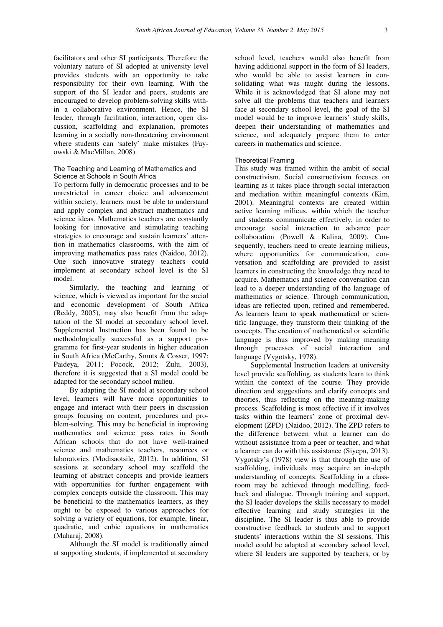facilitators and other SI participants. Therefore the voluntary nature of SI adopted at university level provides students with an opportunity to take responsibility for their own learning. With the support of the SI leader and peers, students are encouraged to develop problem-solving skills within a collaborative environment. Hence, the SI leader, through facilitation, interaction, open discussion, scaffolding and explanation, promotes learning in a socially non-threatening environment where students can 'safely' make mistakes (Fayowski & MacMillan, 2008).

### The Teaching and Learning of Mathematics and Science at Schools in South Africa

To perform fully in democratic processes and to be unrestricted in career choice and advancement within society, learners must be able to understand and apply complex and abstract mathematics and science ideas. Mathematics teachers are constantly looking for innovative and stimulating teaching strategies to encourage and sustain learners' attention in mathematics classrooms, with the aim of improving mathematics pass rates (Naidoo, 2012). One such innovative strategy teachers could implement at secondary school level is the SI model.

Similarly, the teaching and learning of science, which is viewed as important for the social and economic development of South Africa (Reddy, 2005), may also benefit from the adaptation of the SI model at secondary school level. Supplemental Instruction has been found to be methodologically successful as a support programme for first-year students in higher education in South Africa (McCarthy, Smuts & Cosser, 1997; Paideya, 2011; Pocock, 2012; Zulu, 2003), therefore it is suggested that a SI model could be adapted for the secondary school milieu.

By adapting the SI model at secondary school level, learners will have more opportunities to engage and interact with their peers in discussion groups focusing on content, procedures and problem-solving. This may be beneficial in improving mathematics and science pass rates in South African schools that do not have well-trained science and mathematics teachers, resources or laboratories (Modisaotsile, 2012). In addition, SI sessions at secondary school may scaffold the learning of abstract concepts and provide learners with opportunities for further engagement with complex concepts outside the classroom. This may be beneficial to the mathematics learners, as they ought to be exposed to various approaches for solving a variety of equations, for example, linear, quadratic, and cubic equations in mathematics (Maharaj, 2008).

Although the SI model is traditionally aimed at supporting students, if implemented at secondary

school level, teachers would also benefit from having additional support in the form of SI leaders, who would be able to assist learners in consolidating what was taught during the lessons. While it is acknowledged that SI alone may not solve all the problems that teachers and learners face at secondary school level, the goal of the SI model would be to improve learners' study skills, deepen their understanding of mathematics and science, and adequately prepare them to enter careers in mathematics and science.

### Theoretical Framing

This study was framed within the ambit of social constructivism. Social constructivism focuses on learning as it takes place through social interaction and mediation within meaningful contexts (Kim, 2001). Meaningful contexts are created within active learning milieus, within which the teacher and students communicate effectively, in order to encourage social interaction to advance peer collaboration (Powell & Kalina, 2009). Consequently, teachers need to create learning milieus, where opportunities for communication, conversation and scaffolding are provided to assist learners in constructing the knowledge they need to acquire. Mathematics and science conversation can lead to a deeper understanding of the language of mathematics or science. Through communication, ideas are reflected upon, refined and remembered. As learners learn to speak mathematical or scientific language, they transform their thinking of the concepts. The creation of mathematical or scientific language is thus improved by making meaning through processes of social interaction and language (Vygotsky, 1978).

Supplemental Instruction leaders at university level provide scaffolding, as students learn to think within the context of the course. They provide direction and suggestions and clarify concepts and theories, thus reflecting on the meaning-making process. Scaffolding is most effective if it involves tasks within the learners' zone of proximal development (ZPD) (Naidoo, 2012). The ZPD refers to the difference between what a learner can do without assistance from a peer or teacher, and what a learner can do with this assistance (Siyepu, 2013). Vygotsky's (1978) view is that through the use of scaffolding, individuals may acquire an in-depth understanding of concepts. Scaffolding in a classroom may be achieved through modelling, feedback and dialogue. Through training and support, the SI leader develops the skills necessary to model effective learning and study strategies in the discipline. The SI leader is thus able to provide constructive feedback to students and to support students' interactions within the SI sessions. This model could be adapted at secondary school level, where SI leaders are supported by teachers, or by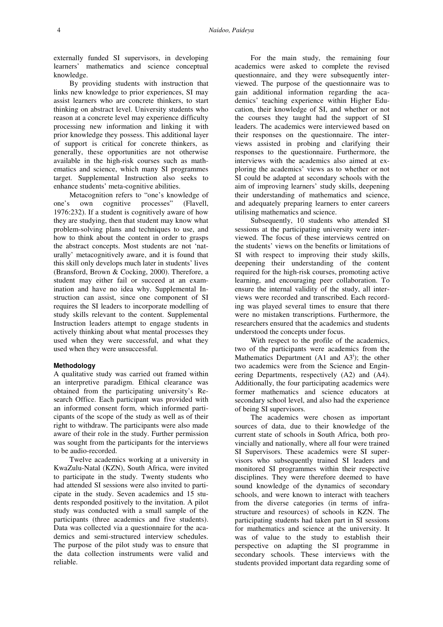externally funded SI supervisors, in developing learners' mathematics and science conceptual knowledge.

By providing students with instruction that links new knowledge to prior experiences, SI may assist learners who are concrete thinkers, to start thinking on abstract level. University students who reason at a concrete level may experience difficulty processing new information and linking it with prior knowledge they possess. This additional layer of support is critical for concrete thinkers, as generally, these opportunities are not otherwise available in the high-risk courses such as mathematics and science, which many SI programmes target. Supplemental Instruction also seeks to enhance students' meta-cognitive abilities.

Metacognition refers to "one's knowledge of one's own cognitive processes" (Flavell, 1976:232). If a student is cognitively aware of how they are studying, then that student may know what problem-solving plans and techniques to use, and how to think about the content in order to grasps the abstract concepts. Most students are not 'naturally' metacognitively aware, and it is found that this skill only develops much later in students' lives (Bransford, Brown & Cocking, 2000). Therefore, a student may either fail or succeed at an examination and have no idea why. Supplemental Instruction can assist, since one component of SI requires the SI leaders to incorporate modelling of study skills relevant to the content. Supplemental Instruction leaders attempt to engage students in actively thinking about what mental processes they used when they were successful, and what they used when they were unsuccessful.

# **Methodology**

A qualitative study was carried out framed within an interpretive paradigm. Ethical clearance was obtained from the participating university's Research Office. Each participant was provided with an informed consent form, which informed participants of the scope of the study as well as of their right to withdraw. The participants were also made aware of their role in the study. Further permission was sought from the participants for the interviews to be audio-recorded.

Twelve academics working at a university in KwaZulu-Natal (KZN), South Africa, were invited to participate in the study. Twenty students who had attended SI sessions were also invited to participate in the study. Seven academics and 15 students responded positively to the invitation. A pilot study was conducted with a small sample of the participants (three academics and five students). Data was collected via a questionnaire for the academics and semi-structured interview schedules. The purpose of the pilot study was to ensure that the data collection instruments were valid and reliable.

For the main study, the remaining four academics were asked to complete the revised questionnaire, and they were subsequently interviewed. The purpose of the questionnaire was to gain additional information regarding the academics' teaching experience within Higher Education, their knowledge of SI, and whether or not the courses they taught had the support of SI leaders. The academics were interviewed based on their responses on the questionnaire. The interviews assisted in probing and clarifying their responses to the questionnaire. Furthermore, the interviews with the academics also aimed at exploring the academics' views as to whether or not SI could be adapted at secondary schools with the aim of improving learners' study skills, deepening their understanding of mathematics and science, and adequately preparing learners to enter careers utilising mathematics and science.

Subsequently, 10 students who attended SI sessions at the participating university were interviewed. The focus of these interviews centred on the students' views on the benefits or limitations of SI with respect to improving their study skills, deepening their understanding of the content required for the high-risk courses, promoting active learning, and encouraging peer collaboration. To ensure the internal validity of the study, all interviews were recorded and transcribed. Each recording was played several times to ensure that there were no mistaken transcriptions. Furthermore, the researchers ensured that the academics and students understood the concepts under focus.

With respect to the profile of the academics, two of the participants were academics from the Mathematics Department  $(A1 \text{ and } A3^i)$ ; the other two academics were from the Science and Engineering Departments, respectively (A2) and (A4). Additionally, the four participating academics were former mathematics and science educators at secondary school level, and also had the experience of being SI supervisors.

The academics were chosen as important sources of data, due to their knowledge of the current state of schools in South Africa, both provincially and nationally, where all four were trained SI Supervisors. These academics were SI supervisors who subsequently trained SI leaders and monitored SI programmes within their respective disciplines. They were therefore deemed to have sound knowledge of the dynamics of secondary schools, and were known to interact with teachers from the diverse categories (in terms of infrastructure and resources) of schools in KZN. The participating students had taken part in SI sessions for mathematics and science at the university. It was of value to the study to establish their perspective on adapting the SI programme in secondary schools. These interviews with the students provided important data regarding some of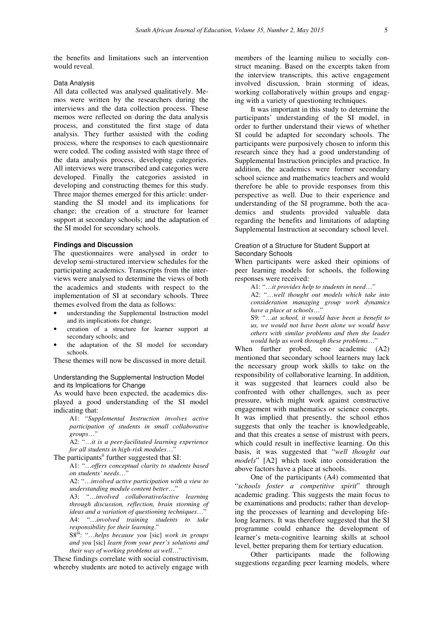the benefits and limitations such an intervention would reveal.

#### Data Analysis

All data collected was analysed qualitatively. Memos were written by the researchers during the interviews and the data collection process. These memos were reflected on during the data analysis process, and constituted the first stage of data analysis. They further assisted with the coding process, where the responses to each questionnaire were coded. The coding assisted with stage three of the data analysis process, developing categories. All interviews were transcribed and categories were developed. Finally the categories assisted in developing and constructing themes for this study. Three major themes emerged for this article: understanding the SI model and its implications for change; the creation of a structure for learner support at secondary schools; and the adaptation of the SI model for secondary schools.

# **Findings and Discussion**

The questionnaires were analysed in order to develop semi-structured interview schedules for the participating academics. Transcripts from the interviews were analysed to determine the views of both the academics and students with respect to the implementation of SI at secondary schools. Three themes evolved from the data as follows:

- understanding the Supplemental Instruction model and its implications for change;
- creation of a structure for learner support at secondary schools; and
- the adaptation of the SI model for secondary schools.

These themes will now be discussed in more detail.

Understanding the Supplemental Instruction Model and its Implications for Change

As would have been expected, the academics displayed a good understanding of the SI model indicating that:

A1: "*Supplemental Instruction involves active participation of students in small collaborative groups*…"

A2: "…*it is a peer-facilitated learning experience for all students in high-risk modules*…"

The participants<sup> $\text{u}$ </sup> further suggested that SI:

A1: "…*offers conceptual clarity to students based on students' needs*…"

A2: "…*involved active participation with a view to understanding module content better*…"

A3: "…*involved collaborative/active learning through discussion, reflection, brain storming of ideas and a variation of questioning techniques*…" A4: "…*involved training students to take responsibility for their learning*."

S8iii: "…*helps because you* [sic] *work in groups and you* [sic] *learn from your peer's solutions and their way of working problems as well*…"

These findings correlate with social constructivism, whereby students are noted to actively engage with members of the learning milieu to socially construct meaning. Based on the excerpts taken from the interview transcripts, this active engagement involved discussion, brain storming of ideas, working collaboratively within groups and engaging with a variety of questioning techniques.

It was important in this study to determine the participants' understanding of the SI model, in order to further understand their views of whether SI could be adapted for secondary schools. The participants were purposively chosen to inform this research since they had a good understanding of Supplemental Instruction principles and practice. In addition, the academics were former secondary school science and mathematics teachers and would therefore be able to provide responses from this perspective as well. Due to their experience and understanding of the SI programme, both the academics and students provided valuable data regarding the benefits and limitations of adapting Supplemental Instruction at secondary school level.

## Creation of a Structure for Student Support at Secondary Schools

When participants were asked their opinions of peer learning models for schools, the following responses were received:

A1: "…*it provides help to students in need*…"

A2: "…*well thought out models which take into consideration managing group work dynamics*  have a place at schools...

S9: "…*at school, it would have been a benefit to us, we would not have been alone we would have others with similar problems and then the leader would help us work through these problems*…"

When further probed, one academic  $(A2)$ mentioned that secondary school learners may lack the necessary group work skills to take on the responsibility of collaborative learning. In addition, it was suggested that learners could also be confronted with other challenges, such as peer pressure, which might work against constructive engagement with mathematics or science concepts. It was implied that presently, the school ethos suggests that only the teacher is knowledgeable, and that this creates a sense of mistrust with peers, which could result in ineffective learning. On this basis, it was suggested that "*well thought out models*" [A2] which took into consideration the above factors have a place at schools.

One of the participants (A4) commented that "*schools foster a competitive spirit*" through academic grading. This suggests the main focus to be examinations and products; rather than developing the processes of learning and developing lifelong learners. It was therefore suggested that the SI programme could enhance the development of learner's meta-cognitive learning skills at school level, better preparing them for tertiary education.

Other participants made the following suggestions regarding peer learning models, where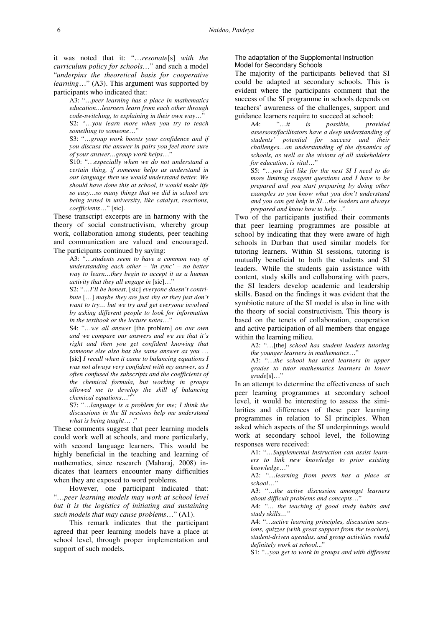it was noted that it: "…*resonate*[s] *with the curriculum policy for schools*…" and such a model "*underpins the theoretical basis for cooperative learning...*" (A3). This argument was supported by participants who indicated that:

> A3: "…*peer learning has a place in mathematics education…learners learn from each other through code-switching, to explaining in their own way*…" S2: "…*you learn more when you try to teach something to someone*…"

> S3: "…*group work boosts your confidence and if you discuss the answer in pairs you feel more sure of your answer…group work helps*…"

> S10: "…*especially when we do not understand a certain thing, if someone helps us understand in our language then we would understand better. We should have done this at school, it would make life so easy…so many things that we did in school are being tested in university, like catalyst, reactions, coefficients*…" [sic].

These transcript excerpts are in harmony with the theory of social constructivism, whereby group work, collaboration among students, peer teaching and communication are valued and encouraged. The participants continued by saying:

> A3: "…*students seem to have a common way of understanding each other – 'in sync' – no better way to learn…they begin to accept it as a human activity that they all engage in* [sic]…"

> S2: "…*I'll be honest,* [sic] *everyone doesn't contribute* […] *maybe they are just shy or they just don't want to try… but we try and get everyone involved by asking different people to look for information in the textbook or the lecture notes*…"

> S4: "…*we all answer* [the problem] *on our own and we compare our answers and we see that it's right and then you get confident knowing that someone else also has the same answer as you* … [sic] *I recall when it came to balancing equations I was not always very confident with my answer, as I often confused the subscripts and the coefficients of the chemical formula, but working in groups allowed me to develop the skill of balancing chemical equations*…"

> S7: "…*language is a problem for me; I think the discussions in the SI sessions help me understand what is being taught*… ."

These comments suggest that peer learning models could work well at schools, and more particularly, with second language learners. This would be highly beneficial in the teaching and learning of mathematics, since research (Maharaj, 2008) indicates that learners encounter many difficulties when they are exposed to word problems.

However, one participant indicated that: "…*peer learning models may work at school level but it is the logistics of initiating and sustaining such models that may cause problems*…" (A1).

This remark indicates that the participant agreed that peer learning models have a place at school level, through proper implementation and support of such models.

The adaptation of the Supplemental Instruction Model for Secondary Schools

The majority of the participants believed that SI could be adapted at secondary schools. This is evident where the participants comment that the success of the SI programme in schools depends on teachers' awareness of the challenges, support and guidance learners require to succeed at school:<br>A4: "...it is possible, pro

A4: "…*it is possible, provided assessors/facilitators have a deep understanding of students' potential for success and their challenges…an understanding of the dynamics of schools, as well as the visions of all stakeholders for education, is vital*…"

S5: "…*you feel like for the next SI I need to do more limiting reagent questions and I have to be prepared and you start preparing by doing other examples so you know what you don't understand and you can get help in SI*…*the leaders are always prepared and know how to help*…"

Two of the participants justified their comments that peer learning programmes are possible at school by indicating that they were aware of high schools in Durban that used similar models for tutoring learners. Within SI sessions, tutoring is mutually beneficial to both the students and SI leaders. While the students gain assistance with content, study skills and collaborating with peers, the SI leaders develop academic and leadership skills. Based on the findings it was evident that the symbiotic nature of the SI model is also in line with the theory of social constructivism. This theory is based on the tenets of collaboration, cooperation and active participation of all members that engage within the learning milieu.

A2: "…[the] *school has student leaders tutoring the younger learners in mathematics*…"

A3: "…*the school has used learners in upper grades to tutor mathematics learners in lower grade*[s]…"

In an attempt to determine the effectiveness of such peer learning programmes at secondary school level, it would be interesting to assess the similarities and differences of these peer learning programmes in relation to SI principles. When asked which aspects of the SI underpinnings would work at secondary school level, the following responses were received:

A1: "…*Supplemental Instruction can assist learners to link new knowledge to prior existing knowledge*…"

A2: "…*learning from peers has a place at school*…"

A3: "…*the active discussion amongst learners about difficult problems and concepts*…"

A4: *"… the teaching of good study habits and study skills…"* 

A4: "…*active learning principles, discussion sessions, quizzes (with great support from the teacher), student-driven agendas, and group activities would definitely work at school*..."

S1: "...*you get to work in groups and with different*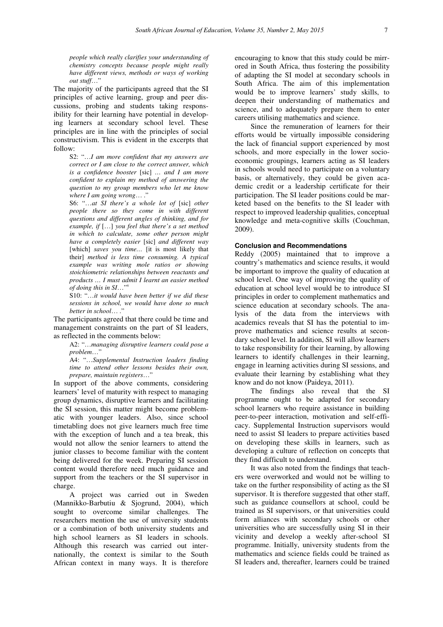*people which really clarifies your understanding of chemistry concepts because people might really have different views, methods or ways of working out stuff*…"

The majority of the participants agreed that the SI principles of active learning, group and peer discussions, probing and students taking responsibility for their learning have potential in developing learners at secondary school level. These principles are in line with the principles of social constructivism. This is evident in the excerpts that follow:

> S2: "…*I am more confident that my answers are correct or I am close to the correct answer, which is a confidence booster* [sic] *… and I am more confident to explain my method of answering the question to my group members who let me know*  where I am going wrong....

> S6: "…*at SI there's a whole lot of* [sic] *other people there so they come in with different questions and different angles of thinking, and for example, if* […] *you feel that there's a set method in which to calculate, some other person might have a completely easier* [sic] *and different way*  [which] *saves you time...* [it is most likely that their] *method is less time consuming. A typical example was writing mole ratios or showing stoichiometric relationships between reactants and products … I must admit I learnt an easier method of doing this in SI...*"

> S10: "…*it would have been better if we did these sessions in school, we would have done so much better in school*… ."

The participants agreed that there could be time and management constraints on the part of SI leaders, as reflected in the comments below:

A2: "…*managing disruptive learners could pose a problem*…"

A4: "…*Supplemental Instruction leaders finding time to attend other lessons besides their own, prepare, maintain registers*…"

In support of the above comments, considering learners' level of maturity with respect to managing group dynamics, disruptive learners and facilitating the SI session, this matter might become problematic with younger leaders. Also, since school timetabling does not give learners much free time with the exception of lunch and a tea break, this would not allow the senior learners to attend the junior classes to become familiar with the content being delivered for the week. Preparing SI session content would therefore need much guidance and support from the teachers or the SI supervisor in charge.

A project was carried out in Sweden (Mannikko-Barbutiu & Sjogrund, 2004), which sought to overcome similar challenges. The researchers mention the use of university students or a combination of both university students and high school learners as SI leaders in schools. Although this research was carried out internationally, the context is similar to the South African context in many ways. It is therefore

encouraging to know that this study could be mirrored in South Africa, thus fostering the possibility of adapting the SI model at secondary schools in South Africa. The aim of this implementation would be to improve learners' study skills, to deepen their understanding of mathematics and science, and to adequately prepare them to enter careers utilising mathematics and science.

Since the remuneration of learners for their efforts would be virtually impossible considering the lack of financial support experienced by most schools, and more especially in the lower socioeconomic groupings, learners acting as SI leaders in schools would need to participate on a voluntary basis, or alternatively, they could be given academic credit or a leadership certificate for their participation. The SI leader positions could be marketed based on the benefits to the SI leader with respect to improved leadership qualities, conceptual knowledge and meta-cognitive skills (Couchman, 2009).

# **Conclusion and Recommendations**

Reddy (2005) maintained that to improve a country's mathematics and science results, it would be important to improve the quality of education at school level. One way of improving the quality of education at school level would be to introduce SI principles in order to complement mathematics and science education at secondary schools. The analysis of the data from the interviews with academics reveals that SI has the potential to improve mathematics and science results at secondary school level. In addition, SI will allow learners to take responsibility for their learning, by allowing learners to identify challenges in their learning, engage in learning activities during SI sessions, and evaluate their learning by establishing what they know and do not know (Paideya, 2011).

The findings also reveal that the SI programme ought to be adapted for secondary school learners who require assistance in building peer-to-peer interaction, motivation and self-efficacy. Supplemental Instruction supervisors would need to assist SI leaders to prepare activities based on developing these skills in learners, such as developing a culture of reflection on concepts that they find difficult to understand.

It was also noted from the findings that teachers were overworked and would not be willing to take on the further responsibility of acting as the SI supervisor. It is therefore suggested that other staff, such as guidance counsellors at school, could be trained as SI supervisors, or that universities could form alliances with secondary schools or other universities who are successfully using SI in their vicinity and develop a weekly after-school SI programme. Initially, university students from the mathematics and science fields could be trained as SI leaders and, thereafter, learners could be trained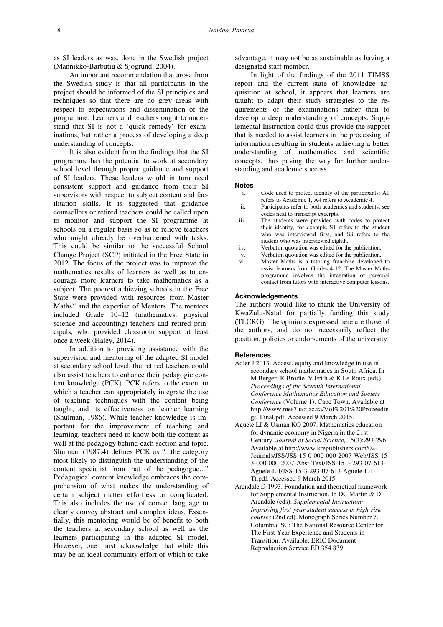as SI leaders as was, done in the Swedish project (Mannikko-Barbutiu & Sjogrund, 2004).

An important recommendation that arose from the Swedish study is that all participants in the project should be informed of the SI principles and techniques so that there are no grey areas with respect to expectations and dissemination of the programme. Learners and teachers ought to understand that SI is not a 'quick remedy' for examinations, but rather a process of developing a deep understanding of concepts.

It is also evident from the findings that the SI programme has the potential to work at secondary school level through proper guidance and support of SI leaders. These leaders would in turn need consistent support and guidance from their SI supervisors with respect to subject content and facilitation skills. It is suggested that guidance counsellors or retired teachers could be called upon to monitor and support the SI programme at schools on a regular basis so as to relieve teachers who might already be overburdened with tasks. This could be similar to the successful School Change Project (SCP) initiated in the Free State in 2012. The focus of the project was to improve the mathematics results of learners as well as to encourage more learners to take mathematics as a subject. The poorest achieving schools in the Free State were provided with resources from Master Maths<sup>vi</sup> and the expertise of Mentors. The mentors included Grade 10–12 (mathematics, physical science and accounting) teachers and retired principals, who provided classroom support at least once a week (Haley, 2014).

In addition to providing assistance with the supervision and mentoring of the adapted SI model at secondary school level, the retired teachers could also assist teachers to enhance their pedagogic content knowledge (PCK). PCK refers to the extent to which a teacher can appropriately integrate the use of teaching techniques with the content being taught, and its effectiveness on learner learning (Shulman, 1986). While teacher knowledge is important for the improvement of teaching and learning, teachers need to know both the content as well at the pedagogy behind each section and topic. Shulman (1987:4) defines PCK as "...the category most likely to distinguish the understanding of the content specialist from that of the pedagogue..." Pedagogical content knowledge embraces the comprehension of what makes the understanding of certain subject matter effortless or complicated. This also includes the use of correct language to clearly convey abstract and complex ideas. Essentially, this mentoring would be of benefit to both the teachers at secondary school as well as the learners participating in the adapted SI model. However, one must acknowledge that while this may be an ideal community effort of which to take

advantage, it may not be as sustainable as having a designated staff member.

In light of the findings of the 2011 TIMSS report and the current state of knowledge acquisition at school, it appears that learners are taught to adapt their study strategies to the requirements of the examinations rather than to develop a deep understanding of concepts. Supplemental Instruction could thus provide the support that is needed to assist learners in the processing of information resulting in students achieving a better understanding of mathematics and scientific concepts, thus paving the way for further understanding and academic success.

### **Notes**

- i. Code used to protect identity of the participants: A1 refers to Academic 1, A4 refers to Academic 4.
- ii. Participants refer to both academics and students; see codes next to transcript excerpts.
- iii. The students were provided with codes to protect their identity, for example S1 refers to the student who was interviewed first, and S8 refers to the student who was interviewed eighth.
- iv. Verbatim quotation was edited for the publication.
- v. Verbatim quotation was edited for the publication.<br>vi. Master Maths is a tutoring franchise developed
- Master Maths is a tutoring franchise developed to assist learners from Grades 4-12. The Master Maths programme involves the integration of personal contact from tutors with interactive computer lessons.

### **Acknowledgements**

The authors would like to thank the University of KwaZulu-Natal for partially funding this study (TLCRG). The opinions expressed here are those of the authors, and do not necessarily reflect the position, policies or endorsements of the university.

## **References**

- Adler J 2013. Access, equity and knowledge in use in secondary school mathematics in South Africa. In M Berger, K Brodie, V Frith & K Le Roux (eds). *Proceedings of the Seventh International Conference Mathematics Education and Society Conference* (Volume 1). Cape Town. Available at http://www.mes7.uct.ac.za/Vol%201%20Proceedin gs\_Final.pdf. Accessed 9 March 2015.
- Aguele LI & Usman KO 2007. Mathematics education for dynamic economy in Nigeria in the 21st Century. *Journal of Social Science,* 15(3):293-296. Available at http://www.krepublishers.com/02- Journals/JSS/JSS-15-0-000-000-2007-Web/JSS-15- 3-000-000-2007-Abst-Text/JSS-15-3-293-07-613- Aguele-L-I/JSS-15-3-293-07-613-Aguele-L-I-Tt.pdf. Accessed 9 March 2015.
- Arendale D 1993. Foundation and theoretical framework for Supplemental Instruction. In DC Martin & D Arendale (eds). *Supplemental Instruction: Improving first-year student success in high-risk courses* (2nd ed). Monograph Series Number 7. Columbia, SC: The National Resource Center for The First Year Experience and Students in Transition. Available: ERIC Document Reproduction Service ED 354 839.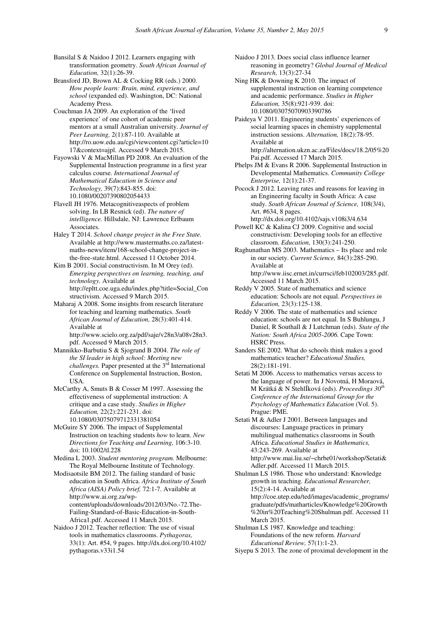Bansilal S & Naidoo J 2012. Learners engaging with transformation geometry. *South African Journal of Education,* 32(1):26-39.

Bransford JD, Brown AL & Cocking RR (eds.) 2000. *How people learn: Brain, mind, experience, and school* (expanded ed). Washington, DC: National Academy Press.

Couchman JA 2009. An exploration of the 'lived experience' of one cohort of academic peer mentors at a small Australian university. *Journal of Peer Learning,* 2(1):87-110. Available at http://ro.uow.edu.au/cgi/viewcontent.cgi?article=10 17&context=ajpl. Accessed 9 March 2015.

Fayowski V & MacMillan PD 2008. An evaluation of the Supplemental Instruction programme in a first year calculus course. *International Journal of Mathematical Education in Science and Technology,* 39(7):843-855. doi: 10.1080/00207390802054433

Flavell JH 1976. Metacognitiveaspects of problem solving. In LB Resnick (ed). *The nature of intelligence.* Hillsdale, NJ: Lawrence Erlbaum Associates.

Haley T 2014. *School change project in the Free State.* Available at http://www.mastermaths.co.za/latestmaths-news/item/168-school-change-project-inthe-free-state.html. Accessed 11 October 2014.

Kim B 2001. Social constructivism. In M Orey (ed). *Emerging perspectives on learning, teaching, and technology.* Available at http://epltt.coe.uga.edu/index.php?title=Social\_Con structivism. Accessed 9 March 2015.

Maharaj A 2008. Some insights from research literature for teaching and learning mathematics. *South African Journal of Education,* 28(3):401-414. Available at

http://www.scielo.org.za/pdf/saje/v28n3/a08v28n3. pdf. Accessed 9 March 2015.

Mannikko-Barbutiu S & Sjogrund B 2004. *The role of the SI leader in high school: Meeting new challenges.* Paper presented at the 3<sup>rd</sup> International Conference on Supplemental Instruction, Boston, USA.

McCarthy A, Smuts B & Cosser M 1997. Assessing the effectiveness of supplemental instruction: A critique and a case study. *Studies in Higher Education,* 22(2):221-231. doi: 10.1080/03075079712331381054

McGuire SY 2006. The impact of Supplemental Instruction on teaching students *how* to learn. *New Directions for Teaching and Learning,* 106:3-10. doi: 10.1002/tl.228

Medina L 2003. *Student mentoring program.* Melbourne: The Royal Melbourne Institute of Technology.

Modisaotsile BM 2012. The failing standard of basic education in South Africa. *Africa Institute of South Africa (AISA) Policy brief,* 72:1-7. Available at http://www.ai.org.za/wpcontent/uploads/downloads/2012/03/No.-72.The-Failing-Standard-of-Basic-Education-in-South-Africa1.pdf. Accessed 11 March 2015.

Naidoo J 2012. Teacher reflection: The use of visual tools in mathematics classrooms. *Pythagoras,*  33(1): Art. #54, 9 pages. http://dx.doi.org/10.4102/ pythagoras.v33i1.54

- Naidoo J 2013. Does social class influence learner reasoning in geometry? *Global Journal of Medical Research,* 13(3):27-34
- Ning HK & Downing K 2010. The impact of supplemental instruction on learning competence and academic performance. *Studies in Higher Education,* 35(8):921-939. doi: 10.1080/03075070903390786

Paideya V 2011. Engineering students' experiences of social learning spaces in chemistry supplemental instruction sessions. *Alternation,* 18(2):78-95. Available at http://alternation.ukzn.ac.za/Files/docs/18.2/05%20

Pai.pdf. Accessed 17 March 2015.

- Phelps JM & Evans R 2006. Supplemental Instruction in Developmental Mathematics. *Community College Enterprise,* 12(1):21-37.
- Pocock J 2012. Leaving rates and reasons for leaving in an Engineering faculty in South Africa: A case study. *South African Journal of Science,* 108(3/4), Art. #634, 8 pages. http://dx.doi.org/10.4102/sajs.v108i3/4.634
- Powell KC & Kalina CJ 2009. Cognitive and social constructivism: Developing tools for an effective classroom. *Education,* 130(3):241-250.
- Raghunathan MS 2003. Mathematics Its place and role in our society. *Current Science,* 84(3):285-290. Available at http://www.iisc.ernet.in/currsci/feb102003/285.pdf. Accessed 11 March 2015.
- Reddy V 2005. State of mathematics and science education: Schools are not equal. *Perspectives in Education,* 23(3):125-138.

Reddy V 2006. The state of mathematics and science education: schools are not equal. In S Buhlungu, J Daniel, R Southall & J Lutchman (eds). *State of the Nation: South Africa 2005-2006.* Cape Town: HSRC Press.

- Sanders SE 2002. What do schools think makes a good mathematics teacher? *Educational Studies,*  28(2):181-191.
- Setati M 2006. Access to mathematics versus access to the language of power. In J Novotná, H Moraová, M Krátká & N StehlÍková (eds). *Proceedings 30th Conference of the International Group for the Psychology of Mathematics Education* (Vol. 5). Prague: PME.

Setati M & Adler J 2001. Between languages and discourses: Language practices in primary multilingual mathematics classrooms in South Africa. *Educational Studies in Mathematics,*  43:243-269. Available at http://www.mai.liu.se/~chrbe01/workshop/Setati& Adler.pdf. Accessed 11 March 2015.

Shulman LS 1986. Those who understand: Knowledge growth in teaching. *Educational Researcher,*  15(2):4-14. Available at http://coe.utep.edu/ted/images/academic\_programs/ graduate/pdfs/matharticles/Knowledge%20Growth %20in%20Teaching%20Shulman.pdf. Accessed 11 March 2015.

Shulman LS 1987. Knowledge and teaching: Foundations of the new reform. *Harvard Educational Review,* 57(1):1-23.

Siyepu S 2013. The zone of proximal development in the